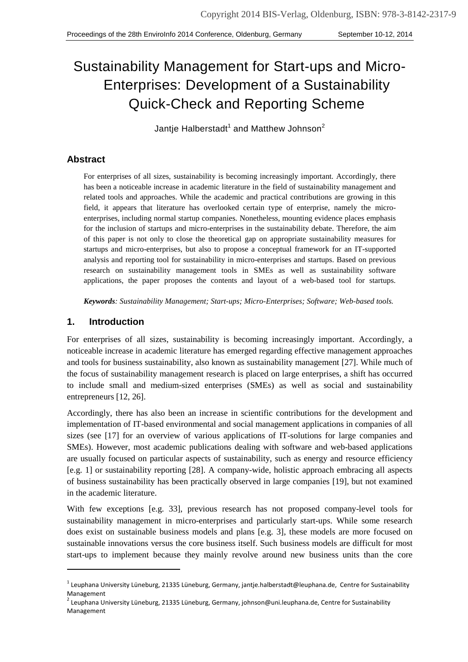# Sustainability Management for Start-ups and Micro-Enterprises: Development of a Sustainability Quick-Check and Reporting Scheme

Jantje Halberstadt<sup>1</sup> and Matthew Johnson<sup>2</sup>

## **Abstract**

For enterprises of all sizes, sustainability is becoming increasingly important. Accordingly, there has been a noticeable increase in academic literature in the field of sustainability management and related tools and approaches. While the academic and practical contributions are growing in this field, it appears that literature has overlooked certain type of enterprise, namely the microenterprises, including normal startup companies. Nonetheless, mounting evidence places emphasis for the inclusion of startups and micro-enterprises in the sustainability debate. Therefore, the aim of this paper is not only to close the theoretical gap on appropriate sustainability measures for startups and micro-enterprises, but also to propose a conceptual framework for an IT-supported analysis and reporting tool for sustainability in micro-enterprises and startups. Based on previous research on sustainability management tools in SMEs as well as sustainability software applications, the paper proposes the contents and layout of a web-based tool for startups.

*Keywords: Sustainability Management; Start-ups; Micro-Enterprises; Software; Web-based tools.* 

## **1. Introduction**

l

For enterprises of all sizes, sustainability is becoming increasingly important. Accordingly, a noticeable increase in academic literature has emerged regarding effective management approaches and tools for business sustainability, also known as sustainability management [27]. While much of the focus of sustainability management research is placed on large enterprises, a shift has occurred to include small and medium-sized enterprises (SMEs) as well as social and sustainability entrepreneurs [12, 26].

Accordingly, there has also been an increase in scientific contributions for the development and implementation of IT-based environmental and social management applications in companies of all sizes (see [17] for an overview of various applications of IT-solutions for large companies and SMEs). However, most academic publications dealing with software and web-based applications are usually focused on particular aspects of sustainability, such as energy and resource efficiency [e.g. 1] or sustainability reporting [28]. A company-wide, holistic approach embracing all aspects of business sustainability has been practically observed in large companies [19], but not examined in the academic literature.

With few exceptions [e.g. 33], previous research has not proposed company-level tools for sustainability management in micro-enterprises and particularly start-ups. While some research does exist on sustainable business models and plans [e.g. 3], these models are more focused on sustainable innovations versus the core business itself. Such business models are difficult for most start-ups to implement because they mainly revolve around new business units than the core

<sup>&</sup>lt;sup>1</sup> Leuphana University Lüneburg, 21335 Lüneburg, Germany, jantje.halberstadt@leuphana.de, Centre for Sustainability Management

<sup>&</sup>lt;sup>2</sup> Leuphana University Lüneburg, 21335 Lüneburg, Germany, johnson@uni.leuphana.de, Centre for Sustainability Management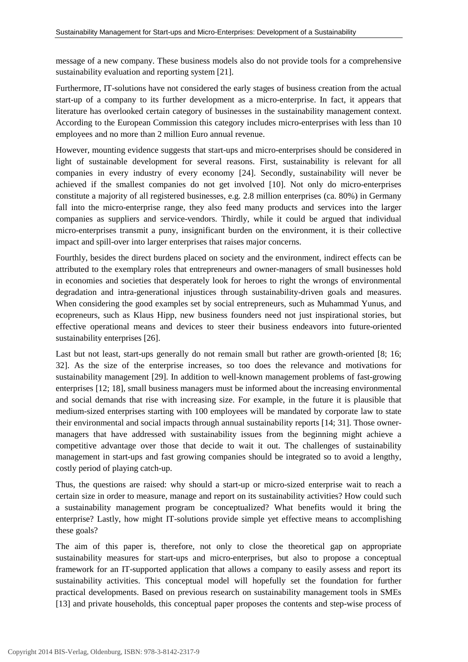message of a new company. These business models also do not provide tools for a comprehensive sustainability evaluation and reporting system [21].

Furthermore, IT-solutions have not considered the early stages of business creation from the actual start-up of a company to its further development as a micro-enterprise. In fact, it appears that literature has overlooked certain category of businesses in the sustainability management context. According to the European Commission this category includes micro-enterprises with less than 10 employees and no more than 2 million Euro annual revenue.

However, mounting evidence suggests that start-ups and micro-enterprises should be considered in light of sustainable development for several reasons. First, sustainability is relevant for all companies in every industry of every economy [24]. Secondly, sustainability will never be achieved if the smallest companies do not get involved [10]. Not only do micro-enterprises constitute a majority of all registered businesses, e.g. 2.8 million enterprises (ca. 80%) in Germany fall into the micro-enterprise range, they also feed many products and services into the larger companies as suppliers and service-vendors. Thirdly, while it could be argued that individual micro-enterprises transmit a puny, insignificant burden on the environment, it is their collective impact and spill-over into larger enterprises that raises major concerns.

Fourthly, besides the direct burdens placed on society and the environment, indirect effects can be attributed to the exemplary roles that entrepreneurs and owner-managers of small businesses hold in economies and societies that desperately look for heroes to right the wrongs of environmental degradation and intra-generational injustices through sustainability-driven goals and measures. When considering the good examples set by social entrepreneurs, such as Muhammad Yunus, and ecopreneurs, such as Klaus Hipp, new business founders need not just inspirational stories, but effective operational means and devices to steer their business endeavors into future-oriented sustainability enterprises [26].

Last but not least, start-ups generally do not remain small but rather are growth-oriented [8; 16; 32]. As the size of the enterprise increases, so too does the relevance and motivations for sustainability management [29]. In addition to well-known management problems of fast-growing enterprises [12; 18], small business managers must be informed about the increasing environmental and social demands that rise with increasing size. For example, in the future it is plausible that medium-sized enterprises starting with 100 employees will be mandated by corporate law to state their environmental and social impacts through annual sustainability reports [14; 31]. Those ownermanagers that have addressed with sustainability issues from the beginning might achieve a competitive advantage over those that decide to wait it out. The challenges of sustainability management in start-ups and fast growing companies should be integrated so to avoid a lengthy, costly period of playing catch-up.

Thus, the questions are raised: why should a start-up or micro-sized enterprise wait to reach a certain size in order to measure, manage and report on its sustainability activities? How could such a sustainability management program be conceptualized? What benefits would it bring the enterprise? Lastly, how might IT-solutions provide simple yet effective means to accomplishing these goals?

The aim of this paper is, therefore, not only to close the theoretical gap on appropriate sustainability measures for start-ups and micro-enterprises, but also to propose a conceptual framework for an IT-supported application that allows a company to easily assess and report its sustainability activities. This conceptual model will hopefully set the foundation for further practical developments. Based on previous research on sustainability management tools in SMEs [13] and private households, this conceptual paper proposes the contents and step-wise process of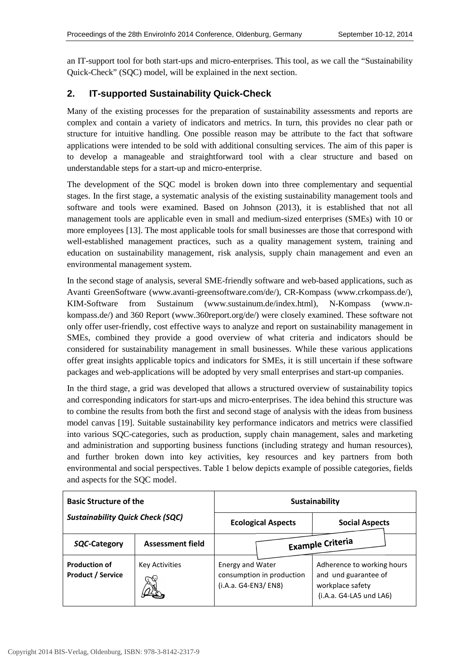an IT-support tool for both start-ups and micro-enterprises. This tool, as we call the "Sustainability Quick-Check" (SQC) model, will be explained in the next section.

# **2. IT-supported Sustainability Quick-Check**

Many of the existing processes for the preparation of sustainability assessments and reports are complex and contain a variety of indicators and metrics. In turn, this provides no clear path or structure for intuitive handling. One possible reason may be attribute to the fact that software applications were intended to be sold with additional consulting services. The aim of this paper is to develop a manageable and straightforward tool with a clear structure and based on understandable steps for a start-up and micro-enterprise.

The development of the SQC model is broken down into three complementary and sequential stages. In the first stage, a systematic analysis of the existing sustainability management tools and software and tools were examined. Based on Johnson (2013), it is established that not all management tools are applicable even in small and medium-sized enterprises (SMEs) with 10 or more employees [13]. The most applicable tools for small businesses are those that correspond with well-established management practices, such as a quality management system, training and education on sustainability management, risk analysis, supply chain management and even an environmental management system.

In the second stage of analysis, several SME-friendly software and web-based applications, such as Avanti GreenSoftware (www.avanti-greensoftware.com/de/), CR-Kompass (www.crkompass.de/), KIM-Software from Sustainum (www.sustainum.de/index.html), N-Kompass (www.nkompass.de/) and 360 Report (www.360report.org/de/) were closely examined. These software not only offer user-friendly, cost effective ways to analyze and report on sustainability management in SMEs, combined they provide a good overview of what criteria and indicators should be considered for sustainability management in small businesses. While these various applications offer great insights applicable topics and indicators for SMEs, it is still uncertain if these software packages and web-applications will be adopted by very small enterprises and start-up companies.

In the third stage, a grid was developed that allows a structured overview of sustainability topics and corresponding indicators for start-ups and micro-enterprises. The idea behind this structure was to combine the results from both the first and second stage of analysis with the ideas from business model canvas [19]. Suitable sustainability key performance indicators and metrics were classified into various SQC-categories, such as production, supply chain management, sales and marketing and administration and supporting business functions (including strategy and human resources), and further broken down into key activities, key resources and key partners from both environmental and social perspectives. Table 1 below depicts example of possible categories, fields and aspects for the SQC model.

| <b>Basic Structure of the</b><br><b>Sustainability Quick Check (SQC)</b> |                             | Sustainability                                                               |                                                                                                     |
|--------------------------------------------------------------------------|-----------------------------|------------------------------------------------------------------------------|-----------------------------------------------------------------------------------------------------|
|                                                                          |                             | <b>Ecological Aspects</b>                                                    | <b>Social Aspects</b>                                                                               |
| SQC-Category                                                             | <b>Assessment field</b>     | <b>Example Criteria</b>                                                      |                                                                                                     |
| <b>Production of</b><br><b>Product / Service</b>                         | <b>Key Activities</b><br>'L | <b>Energy and Water</b><br>consumption in production<br>(i.A.a. G4-EN3/ EN8) | Adherence to working hours<br>and und guarantee of<br>workplace safety<br>$(i.A.a. G4-LA5 und LA6)$ |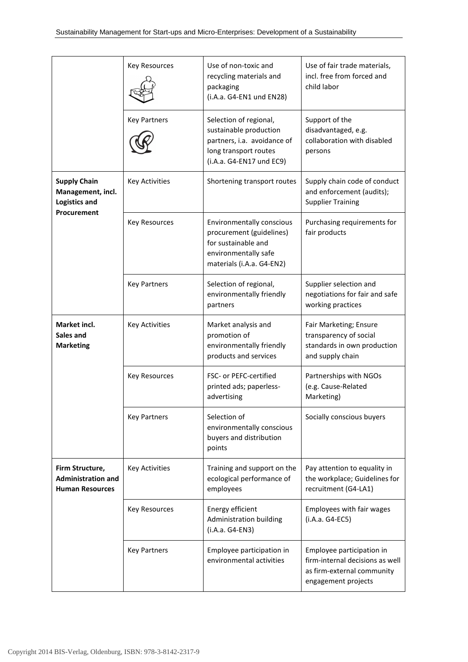|                                                                                 | <b>Key Resources</b>  | Use of non-toxic and<br>recycling materials and<br>packaging<br>(i.A.a. G4-EN1 und EN28)                                                 | Use of fair trade materials,<br>incl. free from forced and<br>child labor                                         |
|---------------------------------------------------------------------------------|-----------------------|------------------------------------------------------------------------------------------------------------------------------------------|-------------------------------------------------------------------------------------------------------------------|
|                                                                                 | <b>Key Partners</b>   | Selection of regional,<br>sustainable production<br>partners, i.a. avoidance of<br>long transport routes<br>(i.A.a. G4-EN17 und EC9)     | Support of the<br>disadvantaged, e.g.<br>collaboration with disabled<br>persons                                   |
| <b>Supply Chain</b><br>Management, incl.<br><b>Logistics and</b><br>Procurement | <b>Key Activities</b> | Shortening transport routes                                                                                                              | Supply chain code of conduct<br>and enforcement (audits);<br><b>Supplier Training</b>                             |
|                                                                                 | <b>Key Resources</b>  | <b>Environmentally conscious</b><br>procurement (guidelines)<br>for sustainable and<br>environmentally safe<br>materials (i.A.a. G4-EN2) | Purchasing requirements for<br>fair products                                                                      |
|                                                                                 | <b>Key Partners</b>   | Selection of regional,<br>environmentally friendly<br>partners                                                                           | Supplier selection and<br>negotiations for fair and safe<br>working practices                                     |
| Market incl.<br>Sales and<br><b>Marketing</b>                                   | <b>Key Activities</b> | Market analysis and<br>promotion of<br>environmentally friendly<br>products and services                                                 | Fair Marketing; Ensure<br>transparency of social<br>standards in own production<br>and supply chain               |
|                                                                                 | <b>Key Resources</b>  | FSC- or PEFC-certified<br>printed ads; paperless-<br>advertising                                                                         | Partnerships with NGOs<br>(e.g. Cause-Related<br>Marketing)                                                       |
|                                                                                 | <b>Key Partners</b>   | Selection of<br>environmentally conscious<br>buyers and distribution<br>points                                                           | Socially conscious buyers                                                                                         |
| Firm Structure,<br><b>Administration and</b><br><b>Human Resources</b>          | <b>Key Activities</b> | Training and support on the<br>ecological performance of<br>employees                                                                    | Pay attention to equality in<br>the workplace; Guidelines for<br>recruitment (G4-LA1)                             |
|                                                                                 | <b>Key Resources</b>  | Energy efficient<br>Administration building<br>(i.A.a. G4-EN3)                                                                           | Employees with fair wages<br>(i.A.a. G4-EC5)                                                                      |
|                                                                                 | <b>Key Partners</b>   | Employee participation in<br>environmental activities                                                                                    | Employee participation in<br>firm-internal decisions as well<br>as firm-external community<br>engagement projects |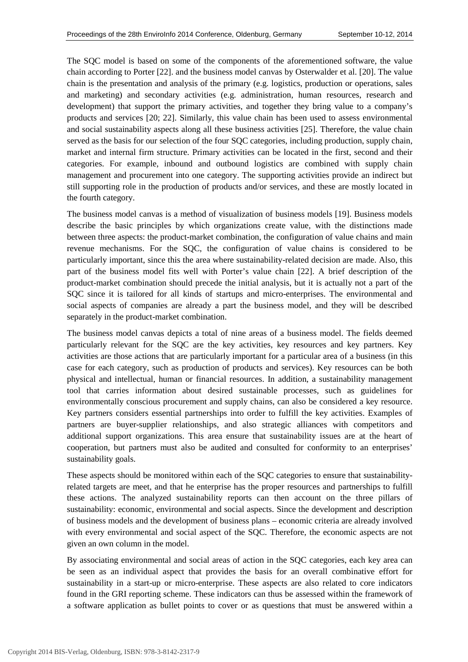The SQC model is based on some of the components of the aforementioned software, the value chain according to Porter [22]. and the business model canvas by Osterwalder et al. [20]. The value chain is the presentation and analysis of the primary (e.g. logistics, production or operations, sales and marketing) and secondary activities (e.g. administration, human resources, research and development) that support the primary activities, and together they bring value to a company's products and services [20; 22]. Similarly, this value chain has been used to assess environmental and social sustainability aspects along all these business activities [25]. Therefore, the value chain served as the basis for our selection of the four SQC categories, including production, supply chain, market and internal firm structure. Primary activities can be located in the first, second and their categories. For example, inbound and outbound logistics are combined with supply chain management and procurement into one category. The supporting activities provide an indirect but still supporting role in the production of products and/or services, and these are mostly located in the fourth category.

The business model canvas is a method of visualization of business models [19]. Business models describe the basic principles by which organizations create value, with the distinctions made between three aspects: the product-market combination, the configuration of value chains and main revenue mechanisms. For the SQC, the configuration of value chains is considered to be particularly important, since this the area where sustainability-related decision are made. Also, this part of the business model fits well with Porter's value chain [22]. A brief description of the product-market combination should precede the initial analysis, but it is actually not a part of the SQC since it is tailored for all kinds of startups and micro-enterprises. The environmental and social aspects of companies are already a part the business model, and they will be described separately in the product-market combination.

The business model canvas depicts a total of nine areas of a business model. The fields deemed particularly relevant for the SQC are the key activities, key resources and key partners. Key activities are those actions that are particularly important for a particular area of a business (in this case for each category, such as production of products and services). Key resources can be both physical and intellectual, human or financial resources. In addition, a sustainability management tool that carries information about desired sustainable processes, such as guidelines for environmentally conscious procurement and supply chains, can also be considered a key resource. Key partners considers essential partnerships into order to fulfill the key activities. Examples of partners are buyer-supplier relationships, and also strategic alliances with competitors and additional support organizations. This area ensure that sustainability issues are at the heart of cooperation, but partners must also be audited and consulted for conformity to an enterprises' sustainability goals.

These aspects should be monitored within each of the SQC categories to ensure that sustainabilityrelated targets are meet, and that he enterprise has the proper resources and partnerships to fulfill these actions. The analyzed sustainability reports can then account on the three pillars of sustainability: economic, environmental and social aspects. Since the development and description of business models and the development of business plans – economic criteria are already involved with every environmental and social aspect of the SQC. Therefore, the economic aspects are not given an own column in the model.

By associating environmental and social areas of action in the SQC categories, each key area can be seen as an individual aspect that provides the basis for an overall combinative effort for sustainability in a start-up or micro-enterprise. These aspects are also related to core indicators found in the GRI reporting scheme. These indicators can thus be assessed within the framework of a software application as bullet points to cover or as questions that must be answered within a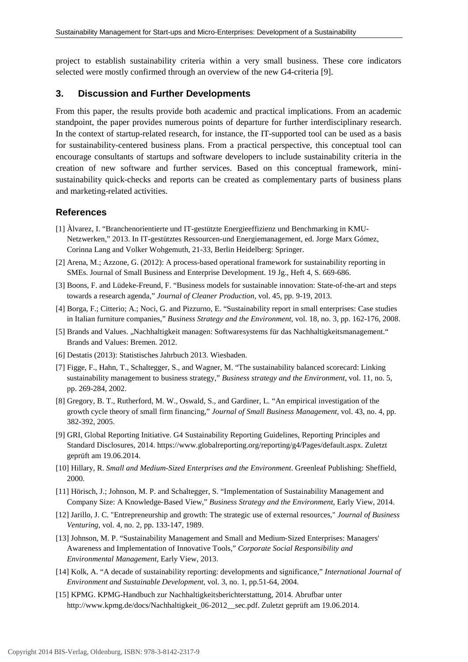project to establish sustainability criteria within a very small business. These core indicators selected were mostly confirmed through an overview of the new G4-criteria [9].

#### **3. Discussion and Further Developments**

From this paper, the results provide both academic and practical implications. From an academic standpoint, the paper provides numerous points of departure for further interdisciplinary research. In the context of startup-related research, for instance, the IT-supported tool can be used as a basis for sustainability-centered business plans. From a practical perspective, this conceptual tool can encourage consultants of startups and software developers to include sustainability criteria in the creation of new software and further services. Based on this conceptual framework, minisustainability quick-checks and reports can be created as complementary parts of business plans and marketing-related activities.

### **References**

- [1] Àlvarez, I. "Branchenorientierte und IT-gestützte Energieeffizienz und Benchmarking in KMU-Netzwerken," 2013. In IT-gestütztes Ressourcen-und Energiemanagement, ed. Jorge Marx Gómez, Corinna Lang and Volker Wohgemuth, 21-33, Berlin Heidelberg: Springer.
- [2] Arena, M.; Azzone, G. (2012): A process-based operational framework for sustainability reporting in SMEs. Journal of Small Business and Enterprise Development. 19 Jg., Heft 4, S. 669-686.
- [3] Boons, F. and Lüdeke-Freund, F. "Business models for sustainable innovation: State-of-the-art and steps towards a research agenda," *Journal of Cleaner Production*, vol. 45, pp. 9-19, 2013.
- [4] Borga, F.; Citterio; A.; Noci, G. and Pizzurno, E. "Sustainability report in small enterprises: Case studies in Italian furniture companies," *Business Strategy and the Environment*, vol. 18, no. 3, pp. 162-176, 2008.
- [5] Brands and Values. "Nachhaltigkeit managen: Softwaresystems für das Nachhaltigkeitsmanagement." Brands and Values: Bremen. 2012.
- [6] Destatis (2013): Statistisches Jahrbuch 2013. Wiesbaden.
- [7] Figge, F., Hahn, T., Schaltegger, S., and Wagner, M. "The sustainability balanced scorecard: Linking sustainability management to business strategy," *Business strategy and the Environment*, vol. 11, no. 5, pp. 269-284, 2002.
- [8] Gregory, B. T., Rutherford, M. W., Oswald, S., and Gardiner, L. "An empirical investigation of the growth cycle theory of small firm financing," *Journal of Small Business Management*, vol. 43, no. 4, pp. 382-392, 2005.
- [9] GRI, Global Reporting Initiative. G4 Sustainability Reporting Guidelines, Reporting Principles and Standard Disclosures, 2014. https://www.globalreporting.org/reporting/g4/Pages/default.aspx. Zuletzt geprüft am 19.06.2014.
- [10] Hillary, R. *Small and Medium-Sized Enterprises and the Environment*. Greenleaf Publishing: Sheffield, 2000.
- [11] Hörisch, J.; Johnson, M. P. and Schaltegger, S. "Implementation of Sustainability Management and Company Size: A Knowledge‐Based View," *Business Strategy and the Environment*, Early View, 2014.
- [12] Jarillo, J. C. "Entrepreneurship and growth: The strategic use of external resources," *Journal of Business Venturing*, vol. 4, no. 2, pp. 133-147, 1989.
- [13] Johnson, M. P. "Sustainability Management and Small and Medium‐Sized Enterprises: Managers' Awareness and Implementation of Innovative Tools," *Corporate Social Responsibility and Environmental Management*, Early View, 2013.
- [14] Kolk, A. "A decade of sustainability reporting: developments and significance," *International Journal of Environment and Sustainable Development*, vol. 3, no. 1, pp.51-64, 2004.
- [15] KPMG. KPMG-Handbuch zur Nachhaltigkeitsberichterstattung, 2014. Abrufbar unter http://www.kpmg.de/docs/Nachhaltigkeit\_06-2012\_\_sec.pdf. Zuletzt geprüft am 19.06.2014.